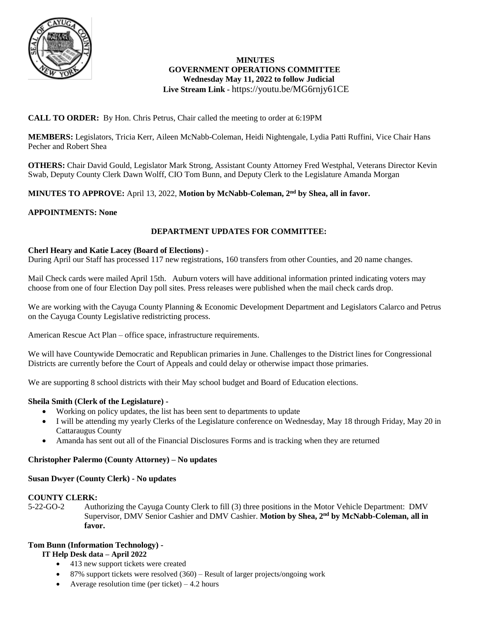

# **MINUTES GOVERNMENT OPERATIONS COMMITTEE Wednesday May 11, 2022 to follow Judicial Live Stream Link -** <https://youtu.be/MG6rnjy61CE>

# **CALL TO ORDER:** By Hon. Chris Petrus, Chair called the meeting to order at 6:19PM

**MEMBERS:** Legislators, Tricia Kerr, Aileen McNabb-Coleman, Heidi Nightengale, Lydia Patti Ruffini, Vice Chair Hans Pecher and Robert Shea

**OTHERS:** Chair David Gould, Legislator Mark Strong, Assistant County Attorney Fred Westphal, Veterans Director Kevin Swab, Deputy County Clerk Dawn Wolff, CIO Tom Bunn, and Deputy Clerk to the Legislature Amanda Morgan

# **MINUTES TO APPROVE:** April 13, 2022, **Motion by McNabb-Coleman, 2nd by Shea, all in favor.**

# **APPOINTMENTS: None**

# **DEPARTMENT UPDATES FOR COMMITTEE:**

#### **Cherl Heary and Katie Lacey (Board of Elections) -**

During April our Staff has processed 117 new registrations, 160 transfers from other Counties, and 20 name changes.

Mail Check cards were mailed April 15th. Auburn voters will have additional information printed indicating voters may choose from one of four Election Day poll sites. Press releases were published when the mail check cards drop.

We are working with the Cayuga County Planning & Economic Development Department and Legislators Calarco and Petrus on the Cayuga County Legislative redistricting process.

American Rescue Act Plan – office space, infrastructure requirements.

We will have Countywide Democratic and Republican primaries in June. Challenges to the District lines for Congressional Districts are currently before the Court of Appeals and could delay or otherwise impact those primaries.

We are supporting 8 school districts with their May school budget and Board of Education elections.

# **Sheila Smith (Clerk of the Legislature) -**

- Working on policy updates, the list has been sent to departments to update
- I will be attending my yearly Clerks of the Legislature conference on Wednesday, May 18 through Friday, May 20 in Cattaraugus County
- Amanda has sent out all of the Financial Disclosures Forms and is tracking when they are returned

#### **Christopher Palermo (County Attorney) – No updates**

# **Susan Dwyer (County Clerk) - No updates**

# **COUNTY CLERK:**

5-22-GO-2 Authorizing the Cayuga County Clerk to fill (3) three positions in the Motor Vehicle Department: DMV Supervisor, DMV Senior Cashier and DMV Cashier. **Motion by Shea, 2nd by McNabb-Coleman, all in favor.**

# **Tom Bunn (Information Technology) -**

#### **IT Help Desk data – April 2022**

- 413 new support tickets were created
- 87% support tickets were resolved (360) Result of larger projects/ongoing work
- Average resolution time (per ticket)  $-4.2$  hours